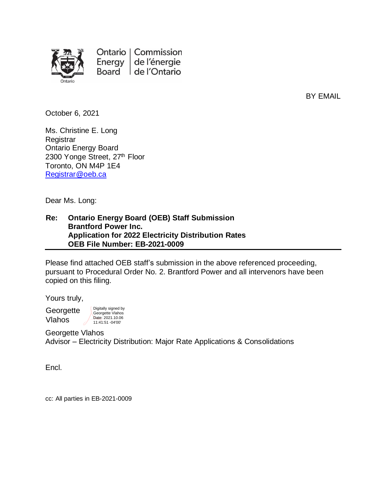

Ontario | Commission Energy  $|$ de l'énergie Board de l'Ontario

BY EMAIL

October 6, 2021

Ms. Christine E. Long **Registrar** Ontario Energy Board 2300 Yonge Street, 27<sup>th</sup> Floor Toronto, ON M4P 1E4 [Registrar@oeb.ca](mailto:Registrar@oeb.ca)

Dear Ms. Long:

#### **Re: Ontario Energy Board (OEB) Staff Submission Brantford Power Inc. Application for 2022 Electricity Distribution Rates OEB File Number: EB-2021-0009**

Please find attached OEB staff's submission in the above referenced proceeding, pursuant to Procedural Order No. 2. Brantford Power and all intervenors have been copied on this filing.

Yours truly,

**Georgette** Vlahos

Georgette Vlahos Date: 2021.10.06 11:41:51 -04'00'

Digitally signed by

Georgette Vlahos Advisor – Electricity Distribution: Major Rate Applications & Consolidations

Encl.

cc: All parties in EB-2021-0009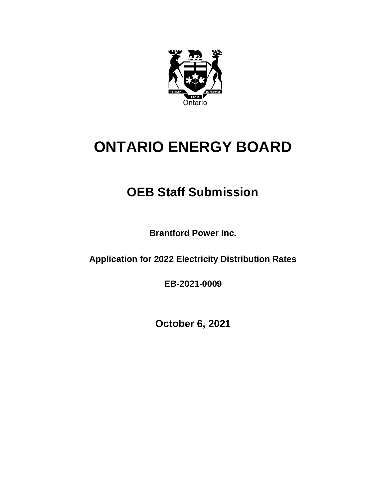

# **ONTARIO ENERGY BOARD**

# **OEB Staff Submission**

**Brantford Power Inc.**

**Application for 2022 Electricity Distribution Rates**

**EB-2021-0009**

**October 6, 2021**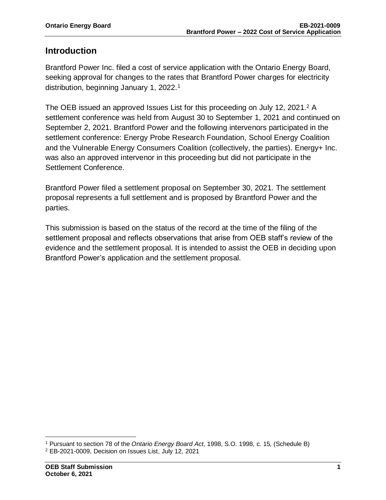#### **Introduction**

Brantford Power Inc. filed a cost of service application with the Ontario Energy Board, seeking approval for changes to the rates that Brantford Power charges for electricity distribution, beginning January 1, 2022. 1

The OEB issued an approved Issues List for this proceeding on July 12, 2021.<sup>2</sup> A settlement conference was held from August 30 to September 1, 2021 and continued on September 2, 2021. Brantford Power and the following intervenors participated in the settlement conference: Energy Probe Research Foundation, School Energy Coalition and the Vulnerable Energy Consumers Coalition (collectively, the parties). Energy+ Inc. was also an approved intervenor in this proceeding but did not participate in the Settlement Conference.

Brantford Power filed a settlement proposal on September 30, 2021. The settlement proposal represents a full settlement and is proposed by Brantford Power and the parties.

This submission is based on the status of the record at the time of the filing of the settlement proposal and reflects observations that arise from OEB staff's review of the evidence and the settlement proposal. It is intended to assist the OEB in deciding upon Brantford Power's application and the settlement proposal.

<sup>1</sup> Pursuant to section 78 of the *Ontario Energy Board Act*, 1998, S.O. 1998, c. 15, (Schedule B)

<sup>2</sup> EB-2021-0009, Decision on Issues List, July 12, 2021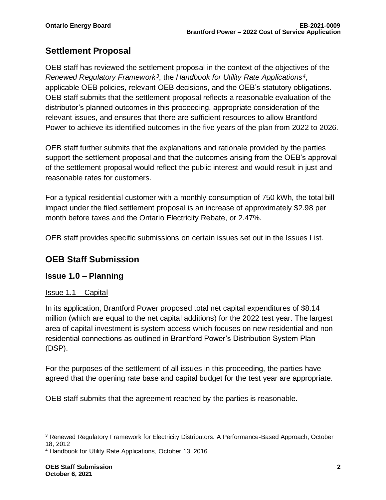# **Settlement Proposal**

OEB staff has reviewed the settlement proposal in the context of the objectives of the *Renewed Regulatory Framework<sup>3</sup>* , the *Handbook for Utility Rate Applications<sup>4</sup>* , applicable OEB policies, relevant OEB decisions, and the OEB's statutory obligations. OEB staff submits that the settlement proposal reflects a reasonable evaluation of the distributor's planned outcomes in this proceeding, appropriate consideration of the relevant issues, and ensures that there are sufficient resources to allow Brantford Power to achieve its identified outcomes in the five years of the plan from 2022 to 2026.

OEB staff further submits that the explanations and rationale provided by the parties support the settlement proposal and that the outcomes arising from the OEB's approval of the settlement proposal would reflect the public interest and would result in just and reasonable rates for customers.

For a typical residential customer with a monthly consumption of 750 kWh, the total bill impact under the filed settlement proposal is an increase of approximately \$2.98 per month before taxes and the Ontario Electricity Rebate, or 2.47%.

OEB staff provides specific submissions on certain issues set out in the Issues List.

# **OEB Staff Submission**

#### **Issue 1.0 – Planning**

#### Issue 1.1 – Capital

In its application, Brantford Power proposed total net capital expenditures of \$8.14 million (which are equal to the net capital additions) for the 2022 test year. The largest area of capital investment is system access which focuses on new residential and nonresidential connections as outlined in Brantford Power's Distribution System Plan (DSP).

For the purposes of the settlement of all issues in this proceeding, the parties have agreed that the opening rate base and capital budget for the test year are appropriate.

OEB staff submits that the agreement reached by the parties is reasonable.

<sup>3</sup> Renewed Regulatory Framework for Electricity Distributors: A Performance-Based Approach, October 18, 2012

<sup>4</sup> Handbook for Utility Rate Applications, October 13, 2016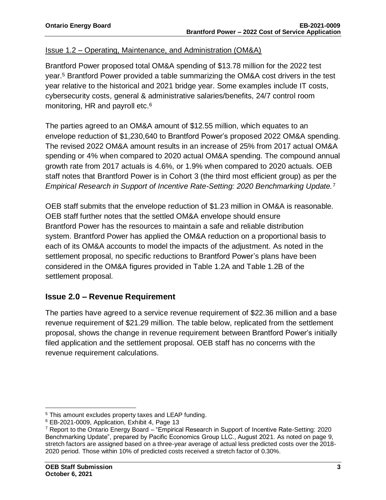#### Issue 1.2 – Operating, Maintenance, and Administration (OM&A)

Brantford Power proposed total OM&A spending of \$13.78 million for the 2022 test year.<sup>5</sup> Brantford Power provided a table summarizing the OM&A cost drivers in the test year relative to the historical and 2021 bridge year. Some examples include IT costs, cybersecurity costs, general & administrative salaries/benefits, 24/7 control room monitoring, HR and payroll etc.<sup>6</sup>

The parties agreed to an OM&A amount of \$12.55 million, which equates to an envelope reduction of \$1,230,640 to Brantford Power's proposed 2022 OM&A spending. The revised 2022 OM&A amount results in an increase of 25% from 2017 actual OM&A spending or 4% when compared to 2020 actual OM&A spending. The compound annual growth rate from 2017 actuals is 4.6%, or 1.9% when compared to 2020 actuals. OEB staff notes that Brantford Power is in Cohort 3 (the third most efficient group) as per the *Empirical Research in Support of Incentive Rate-Setting: 2020 Benchmarking Update.*<sup>7</sup>

OEB staff submits that the envelope reduction of \$1.23 million in OM&A is reasonable. OEB staff further notes that the settled OM&A envelope should ensure Brantford Power has the resources to maintain a safe and reliable distribution system. Brantford Power has applied the OM&A reduction on a proportional basis to each of its OM&A accounts to model the impacts of the adjustment. As noted in the settlement proposal, no specific reductions to Brantford Power's plans have been considered in the OM&A figures provided in Table 1.2A and Table 1.2B of the settlement proposal.

# **Issue 2.0 – Revenue Requirement**

The parties have agreed to a service revenue requirement of \$22.36 million and a base revenue requirement of \$21.29 million. The table below, replicated from the settlement proposal, shows the change in revenue requirement between Brantford Power's initially filed application and the settlement proposal. OEB staff has no concerns with the revenue requirement calculations.

<sup>&</sup>lt;sup>5</sup> This amount excludes property taxes and LEAP funding.

<sup>6</sup> EB-2021-0009, Application, Exhibit 4, Page 13

 $7$  Report to the Ontario Energy Board – "Empirical Research in Support of Incentive Rate-Setting: 2020 Benchmarking Update", prepared by Pacific Economics Group LLC., August 2021. As noted on page 9, stretch factors are assigned based on a three-year average of actual less predicted costs over the 2018- 2020 period. Those within 10% of predicted costs received a stretch factor of 0.30%.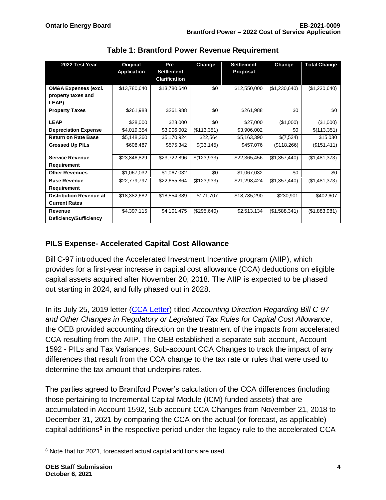| 2022 Test Year                  | Original<br><b>Application</b> | Pre-<br><b>Settlement</b><br><b>Clarification</b> | Change      | <b>Settlement</b><br>Proposal | Change        | <b>Total Change</b> |
|---------------------------------|--------------------------------|---------------------------------------------------|-------------|-------------------------------|---------------|---------------------|
| <b>OM&amp;A Expenses (excl.</b> | \$13,780,640                   | \$13,780,640                                      | \$0         | \$12,550,000                  | (\$1,230,640) | (\$1,230,640)       |
| property taxes and              |                                |                                                   |             |                               |               |                     |
| LEAP)                           |                                |                                                   |             |                               |               |                     |
| <b>Property Taxes</b>           | \$261,988                      | \$261,988                                         | \$0         | \$261,988                     | \$0           | \$0                 |
| <b>LEAP</b>                     | \$28,000                       | \$28,000                                          | \$0         | \$27,000                      | (\$1,000)     | (\$1,000)           |
| <b>Depreciation Expense</b>     | \$4,019,354                    | \$3,906,002                                       | (\$113,351) | \$3,906,002                   | \$0           | \$(113,351)         |
| <b>Return on Rate Base</b>      | \$5,148,360                    | \$5,170,924                                       | \$22,564    | \$5,163,390                   | \$(7,534)     | \$15,030            |
| <b>Grossed Up PILs</b>          | \$608,487                      | \$575,342                                         | \$(33,145)  | \$457,076                     | (\$118,266)   | (\$151,411)         |
| <b>Service Revenue</b>          | \$23,846,829                   | \$23,722,896                                      | \$(123,933) | \$22,365,456                  | (\$1,357,440) | (\$1,481,373)       |
| Requirement                     |                                |                                                   |             |                               |               |                     |
| <b>Other Revenues</b>           | \$1,067,032                    | \$1,067,032                                       | \$0         | \$1,067,032                   | \$0           | \$0                 |
| <b>Base Revenue</b>             | \$22,779,797                   | \$22,655,864                                      | (\$123,933) | \$21,298,424                  | (\$1,357,440) | (\$1,481,373)       |
| Requirement                     |                                |                                                   |             |                               |               |                     |
| <b>Distribution Revenue at</b>  | \$18,382,682                   | \$18,554,389                                      | \$171,707   | \$18,785,290                  | \$230,901     | \$402,607           |
| <b>Current Rates</b>            |                                |                                                   |             |                               |               |                     |
| Revenue                         | \$4,397,115                    | \$4,101,475                                       | (\$295,640) | \$2,513,134                   | (\$1,588,341) | (\$1,883,981)       |
| Deficiency/Sufficiency          |                                |                                                   |             |                               |               |                     |

**Table 1: Brantford Power Revenue Requirement**

#### **PILS Expense- Accelerated Capital Cost Allowance**

Bill C-97 introduced the Accelerated Investment Incentive program (AIIP), which provides for a first-year increase in capital cost allowance (CCA) deductions on eligible capital assets acquired after November 20, 2018. The AIIP is expected to be phased out starting in 2024, and fully phased out in 2028.

In its July 25, 2019 letter [\(CCA Letter\)](https://www.oeb.ca/sites/default/files/OEBltr-Acctng-Guidance-Bill-C97-20190725.pdf) titled *Accounting Direction Regarding Bill C-97 and Other Changes in Regulatory or Legislated Tax Rules for Capital Cost Allowance*, the OEB provided accounting direction on the treatment of the impacts from accelerated CCA resulting from the AIIP. The OEB established a separate sub-account, Account 1592 - PILs and Tax Variances, Sub-account CCA Changes to track the impact of any differences that result from the CCA change to the tax rate or rules that were used to determine the tax amount that underpins rates.

The parties agreed to Brantford Power's calculation of the CCA differences (including those pertaining to Incremental Capital Module (ICM) funded assets) that are accumulated in Account 1592, Sub-account CCA Changes from November 21, 2018 to December 31, 2021 by comparing the CCA on the actual (or forecast, as applicable) capital additions<sup>8</sup> in the respective period under the legacy rule to the accelerated CCA

<sup>8</sup> Note that for 2021, forecasted actual capital additions are used.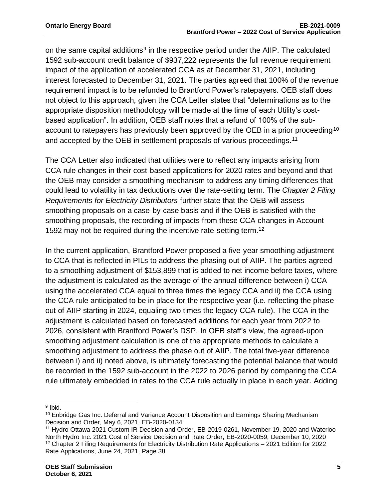on the same capital additions<sup>9</sup> in the respective period under the AIIP. The calculated 1592 sub-account credit balance of \$937,222 represents the full revenue requirement impact of the application of accelerated CCA as at December 31, 2021, including interest forecasted to December 31, 2021. The parties agreed that 100% of the revenue requirement impact is to be refunded to Brantford Power's ratepayers. OEB staff does not object to this approach, given the CCA Letter states that "determinations as to the appropriate disposition methodology will be made at the time of each Utility's costbased application". In addition, OEB staff notes that a refund of 100% of the subaccount to ratepayers has previously been approved by the OEB in a prior proceeding<sup>10</sup> and accepted by the OEB in settlement proposals of various proceedings.<sup>11</sup>

The CCA Letter also indicated that utilities were to reflect any impacts arising from CCA rule changes in their cost-based applications for 2020 rates and beyond and that the OEB may consider a smoothing mechanism to address any timing differences that could lead to volatility in tax deductions over the rate-setting term. The *Chapter 2 Filing Requirements for Electricity Distributors* further state that the OEB will assess smoothing proposals on a case-by-case basis and if the OEB is satisfied with the smoothing proposals, the recording of impacts from these CCA changes in Account 1592 may not be required during the incentive rate-setting term.<sup>12</sup>

In the current application, Brantford Power proposed a five-year smoothing adjustment to CCA that is reflected in PILs to address the phasing out of AIIP. The parties agreed to a smoothing adjustment of \$153,899 that is added to net income before taxes, where the adjustment is calculated as the average of the annual difference between i) CCA using the accelerated CCA equal to three times the legacy CCA and ii) the CCA using the CCA rule anticipated to be in place for the respective year (i.e. reflecting the phaseout of AIIP starting in 2024, equaling two times the legacy CCA rule). The CCA in the adjustment is calculated based on forecasted additions for each year from 2022 to 2026, consistent with Brantford Power's DSP. In OEB staff's view, the agreed-upon smoothing adjustment calculation is one of the appropriate methods to calculate a smoothing adjustment to address the phase out of AIIP. The total five-year difference between i) and ii) noted above, is ultimately forecasting the potential balance that would be recorded in the 1592 sub-account in the 2022 to 2026 period by comparing the CCA rule ultimately embedded in rates to the CCA rule actually in place in each year. Adding

<sup>9</sup> Ibid.

<sup>&</sup>lt;sup>10</sup> Enbridge Gas Inc. Deferral and Variance Account Disposition and Earnings Sharing Mechanism Decision and Order, May 6, 2021, EB-2020-0134

<sup>&</sup>lt;sup>11</sup> Hydro Ottawa 2021 Custom IR Decision and Order, EB-2019-0261, November 19, 2020 and Waterloo North Hydro Inc. 2021 Cost of Service Decision and Rate Order, EB-2020-0059, December 10, 2020 <sup>12</sup> Chapter 2 Filing Requirements for Electricity Distribution Rate Applications – 2021 Edition for 2022 Rate Applications, June 24, 2021, Page 38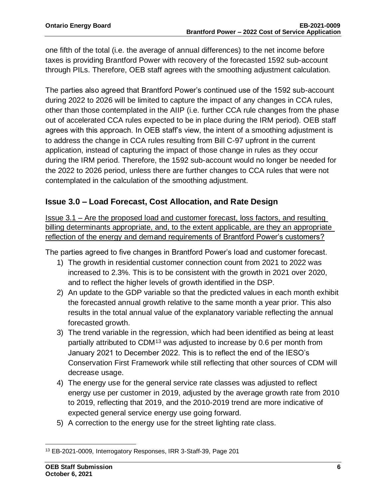one fifth of the total (i.e. the average of annual differences) to the net income before taxes is providing Brantford Power with recovery of the forecasted 1592 sub-account through PILs. Therefore, OEB staff agrees with the smoothing adjustment calculation.

The parties also agreed that Brantford Power's continued use of the 1592 sub-account during 2022 to 2026 will be limited to capture the impact of any changes in CCA rules, other than those contemplated in the AIIP (i.e. further CCA rule changes from the phase out of accelerated CCA rules expected to be in place during the IRM period). OEB staff agrees with this approach. In OEB staff's view, the intent of a smoothing adjustment is to address the change in CCA rules resulting from Bill C-97 upfront in the current application, instead of capturing the impact of those change in rules as they occur during the IRM period. Therefore, the 1592 sub-account would no longer be needed for the 2022 to 2026 period, unless there are further changes to CCA rules that were not contemplated in the calculation of the smoothing adjustment.

#### **Issue 3.0 – Load Forecast, Cost Allocation, and Rate Design**

Issue 3.1 – Are the proposed load and customer forecast, loss factors, and resulting billing determinants appropriate, and, to the extent applicable, are they an appropriate reflection of the energy and demand requirements of Brantford Power's customers?

The parties agreed to five changes in Brantford Power's load and customer forecast.

- 1) The growth in residential customer connection count from 2021 to 2022 was increased to 2.3%. This is to be consistent with the growth in 2021 over 2020, and to reflect the higher levels of growth identified in the DSP.
- 2) An update to the GDP variable so that the predicted values in each month exhibit the forecasted annual growth relative to the same month a year prior. This also results in the total annual value of the explanatory variable reflecting the annual forecasted growth.
- 3) The trend variable in the regression, which had been identified as being at least partially attributed to CDM<sup>13</sup> was adjusted to increase by 0.6 per month from January 2021 to December 2022. This is to reflect the end of the IESO's Conservation First Framework while still reflecting that other sources of CDM will decrease usage.
- 4) The energy use for the general service rate classes was adjusted to reflect energy use per customer in 2019, adjusted by the average growth rate from 2010 to 2019, reflecting that 2019, and the 2010-2019 trend are more indicative of expected general service energy use going forward.
- 5) A correction to the energy use for the street lighting rate class.

<sup>13</sup> EB-2021-0009, Interrogatory Responses, IRR 3-Staff-39, Page 201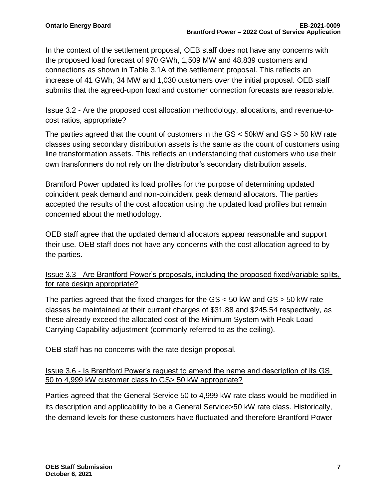In the context of the settlement proposal, OEB staff does not have any concerns with the proposed load forecast of 970 GWh, 1,509 MW and 48,839 customers and connections as shown in Table 3.1A of the settlement proposal. This reflects an increase of 41 GWh, 34 MW and 1,030 customers over the initial proposal. OEB staff submits that the agreed-upon load and customer connection forecasts are reasonable.

#### Issue 3.2 - Are the proposed cost allocation methodology, allocations, and revenue-tocost ratios, appropriate?

The parties agreed that the count of customers in the  $GS < 50$ kW and  $GS > 50$  kW rate classes using secondary distribution assets is the same as the count of customers using line transformation assets. This reflects an understanding that customers who use their own transformers do not rely on the distributor's secondary distribution assets.

Brantford Power updated its load profiles for the purpose of determining updated coincident peak demand and non-coincident peak demand allocators. The parties accepted the results of the cost allocation using the updated load profiles but remain concerned about the methodology.

OEB staff agree that the updated demand allocators appear reasonable and support their use. OEB staff does not have any concerns with the cost allocation agreed to by the parties.

#### Issue 3.3 - Are Brantford Power's proposals, including the proposed fixed/variable splits, for rate design appropriate?

The parties agreed that the fixed charges for the  $GS < 50$  kW and  $GS > 50$  kW rate classes be maintained at their current charges of \$31.88 and \$245.54 respectively, as these already exceed the allocated cost of the Minimum System with Peak Load Carrying Capability adjustment (commonly referred to as the ceiling).

OEB staff has no concerns with the rate design proposal.

#### Issue 3.6 - Is Brantford Power's request to amend the name and description of its GS 50 to 4,999 kW customer class to GS> 50 kW appropriate?

Parties agreed that the General Service 50 to 4,999 kW rate class would be modified in its description and applicability to be a General Service>50 kW rate class. Historically, the demand levels for these customers have fluctuated and therefore Brantford Power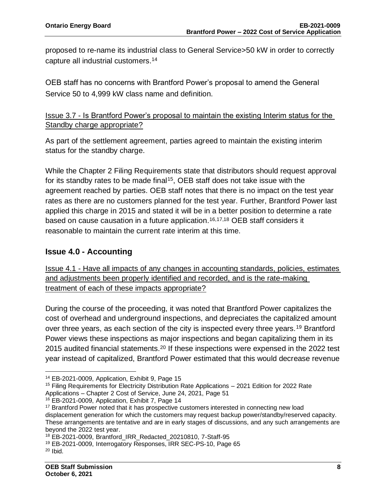proposed to re-name its industrial class to General Service>50 kW in order to correctly capture all industrial customers. 14

OEB staff has no concerns with Brantford Power's proposal to amend the General Service 50 to 4,999 kW class name and definition.

#### Issue 3.7 - Is Brantford Power's proposal to maintain the existing Interim status for the Standby charge appropriate?

As part of the settlement agreement, parties agreed to maintain the existing interim status for the standby charge.

While the Chapter 2 Filing Requirements state that distributors should request approval for its standby rates to be made final<sup>15</sup>, OEB staff does not take issue with the agreement reached by parties. OEB staff notes that there is no impact on the test year rates as there are no customers planned for the test year. Further, Brantford Power last applied this charge in 2015 and stated it will be in a better position to determine a rate based on cause causation in a future application. 16,17,18 OEB staff considers it reasonable to maintain the current rate interim at this time.

# **Issue 4.0 - Accounting**

Issue 4.1 - Have all impacts of any changes in accounting standards, policies, estimates and adjustments been properly identified and recorded, and is the rate-making treatment of each of these impacts appropriate?

During the course of the proceeding, it was noted that Brantford Power capitalizes the cost of overhead and underground inspections, and depreciates the capitalized amount over three years, as each section of the city is inspected every three years.<sup>19</sup> Brantford Power views these inspections as major inspections and began capitalizing them in its 2015 audited financial statements.<sup>20</sup> If these inspections were expensed in the 2022 test year instead of capitalized, Brantford Power estimated that this would decrease revenue

<sup>14</sup> EB-2021-0009, Application, Exhibit 9, Page 15

<sup>&</sup>lt;sup>15</sup> Filing Requirements for Electricity Distribution Rate Applications – 2021 Edition for 2022 Rate Applications – Chapter 2 Cost of Service, June 24, 2021, Page 51

<sup>16</sup> EB-2021-0009, Application, Exhibit 7, Page 14

<sup>&</sup>lt;sup>17</sup> Brantford Power noted that it has prospective customers interested in connecting new load displacement generation for which the customers may request backup power/standby/reserved capacity. These arrangements are tentative and are in early stages of discussions, and any such arrangements are beyond the 2022 test year.

<sup>18</sup> EB-2021-0009, Brantford\_IRR\_Redacted\_20210810, 7-Staff-95

<sup>19</sup> EB-2021-0009, Interrogatory Responses, IRR SEC-PS-10, Page 65

 $20$  Ibid.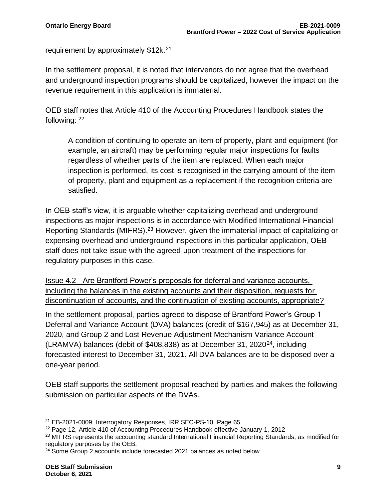requirement by approximately \$12k.<sup>21</sup>

In the settlement proposal, it is noted that intervenors do not agree that the overhead and underground inspection programs should be capitalized, however the impact on the revenue requirement in this application is immaterial.

OEB staff notes that Article 410 of the Accounting Procedures Handbook states the following: <sup>22</sup>

A condition of continuing to operate an item of property, plant and equipment (for example, an aircraft) may be performing regular major inspections for faults regardless of whether parts of the item are replaced. When each major inspection is performed, its cost is recognised in the carrying amount of the item of property, plant and equipment as a replacement if the recognition criteria are satisfied.

In OEB staff's view, it is arguable whether capitalizing overhead and underground inspections as major inspections is in accordance with Modified International Financial Reporting Standards (MIFRS).<sup>23</sup> However, given the immaterial impact of capitalizing or expensing overhead and underground inspections in this particular application, OEB staff does not take issue with the agreed-upon treatment of the inspections for regulatory purposes in this case.

Issue 4.2 - Are Brantford Power's proposals for deferral and variance accounts, including the balances in the existing accounts and their disposition, requests for discontinuation of accounts, and the continuation of existing accounts, appropriate?

In the settlement proposal, parties agreed to dispose of Brantford Power's Group 1 Deferral and Variance Account (DVA) balances (credit of \$167,945) as at December 31, 2020, and Group 2 and Lost Revenue Adjustment Mechanism Variance Account (LRAMVA) balances (debit of \$408,838) as at December 31, 2020<sup>24</sup>, including forecasted interest to December 31, 2021. All DVA balances are to be disposed over a one-year period.

OEB staff supports the settlement proposal reached by parties and makes the following submission on particular aspects of the DVAs.

<sup>21</sup> EB-2021-0009, Interrogatory Responses, IRR SEC-PS-10, Page 65

<sup>22</sup> Page 12, Article 410 of Accounting Procedures Handbook effective January 1, 2012

<sup>&</sup>lt;sup>23</sup> MIFRS represents the accounting standard International Financial Reporting Standards, as modified for regulatory purposes by the OEB.

<sup>&</sup>lt;sup>24</sup> Some Group 2 accounts include forecasted 2021 balances as noted below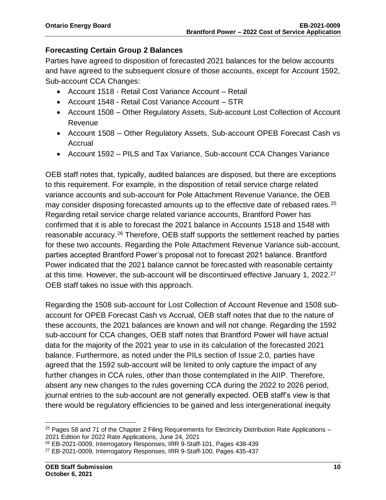#### **Forecasting Certain Group 2 Balances**

Parties have agreed to disposition of forecasted 2021 balances for the below accounts and have agreed to the subsequent closure of those accounts, except for Account 1592, Sub-account CCA Changes:

- Account 1518 Retail Cost Variance Account Retail
- Account 1548 Retail Cost Variance Account STR
- Account 1508 Other Regulatory Assets, Sub-account Lost Collection of Account Revenue
- Account 1508 Other Regulatory Assets, Sub-account OPEB Forecast Cash vs Accrual
- Account 1592 PILS and Tax Variance, Sub-account CCA Changes Variance

OEB staff notes that, typically, audited balances are disposed, but there are exceptions to this requirement. For example, in the disposition of retail service charge related variance accounts and sub-account for Pole Attachment Revenue Variance, the OEB may consider disposing forecasted amounts up to the effective date of rebased rates.<sup>25</sup> Regarding retail service charge related variance accounts, Brantford Power has confirmed that it is able to forecast the 2021 balance in Accounts 1518 and 1548 with reasonable accuracy.<sup>26</sup> Therefore, OEB staff supports the settlement reached by parties for these two accounts. Regarding the Pole Attachment Revenue Variance sub-account, parties accepted Brantford Power's proposal not to forecast 2021 balance. Brantford Power indicated that the 2021 balance cannot be forecasted with reasonable certainty at this time. However, the sub-account will be discontinued effective January 1, 2022.<sup>27</sup> OEB staff takes no issue with this approach.

Regarding the 1508 sub-account for Lost Collection of Account Revenue and 1508 subaccount for OPEB Forecast Cash vs Accrual, OEB staff notes that due to the nature of these accounts, the 2021 balances are known and will not change. Regarding the 1592 sub-account for CCA changes, OEB staff notes that Brantford Power will have actual data for the majority of the 2021 year to use in its calculation of the forecasted 2021 balance. Furthermore, as noted under the PILs section of Issue 2.0, parties have agreed that the 1592 sub-account will be limited to only capture the impact of any further changes in CCA rules, other than those contemplated in the AIIP. Therefore, absent any new changes to the rules governing CCA during the 2022 to 2026 period, journal entries to the sub-account are not generally expected. OEB staff's view is that there would be regulatory efficiencies to be gained and less intergenerational inequity

 $25$  Pages 58 and 71 of the Chapter 2 Filing Requirements for Electricity Distribution Rate Applications – 2021 Edition for 2022 Rate Applications, June 24, 2021

<sup>26</sup> EB-2021-0009, Interrogatory Responses, IRR 9-Staff-101, Pages 438-439

<sup>27</sup> EB-2021-0009, Interrogatory Responses, IRR 9-Staff-100, Pages 435-437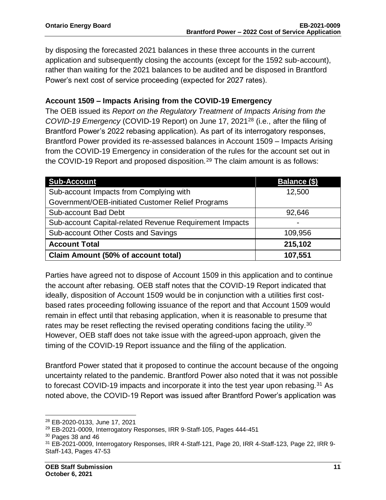by disposing the forecasted 2021 balances in these three accounts in the current application and subsequently closing the accounts (except for the 1592 sub-account), rather than waiting for the 2021 balances to be audited and be disposed in Brantford Power's next cost of service proceeding (expected for 2027 rates).

#### **Account 1509 – Impacts Arising from the COVID-19 Emergency**

The OEB issued its *Report on the Regulatory Treatment of Impacts Arising from the COVID-19 Emergency* (COVID-19 Report) on June 17, 2021<sup>28</sup> (i.e., after the filing of Brantford Power's 2022 rebasing application). As part of its interrogatory responses, Brantford Power provided its re-assessed balances in Account 1509 – Impacts Arising from the COVID-19 Emergency in consideration of the rules for the account set out in the COVID-19 Report and proposed disposition.<sup>29</sup> The claim amount is as follows:

| <b>Sub-Account</b>                                      | Balance (\$) |
|---------------------------------------------------------|--------------|
| Sub-account Impacts from Complying with                 | 12,500       |
| Government/OEB-initiated Customer Relief Programs       |              |
| Sub-account Bad Debt                                    | 92,646       |
| Sub-account Capital-related Revenue Requirement Impacts |              |
| Sub-account Other Costs and Savings                     | 109,956      |
| <b>Account Total</b>                                    | 215,102      |
| <b>Claim Amount (50% of account total)</b>              | 107,551      |

Parties have agreed not to dispose of Account 1509 in this application and to continue the account after rebasing. OEB staff notes that the COVID-19 Report indicated that ideally, disposition of Account 1509 would be in conjunction with a utilities first costbased rates proceeding following issuance of the report and that Account 1509 would remain in effect until that rebasing application, when it is reasonable to presume that rates may be reset reflecting the revised operating conditions facing the utility.<sup>30</sup> However, OEB staff does not take issue with the agreed-upon approach, given the timing of the COVID-19 Report issuance and the filing of the application.

Brantford Power stated that it proposed to continue the account because of the ongoing uncertainty related to the pandemic. Brantford Power also noted that it was not possible to forecast COVID-19 impacts and incorporate it into the test year upon rebasing.<sup>31</sup> As noted above, the COVID-19 Report was issued after Brantford Power's application was

<sup>28</sup> EB-2020-0133, June 17, 2021

<sup>&</sup>lt;sup>29</sup> EB-2021-0009, Interrogatory Responses, IRR 9-Staff-105, Pages 444-451

 $30$  Pages 38 and 46

<sup>31</sup> EB-2021-0009, Interrogatory Responses, IRR 4-Staff-121, Page 20, IRR 4-Staff-123, Page 22, IRR 9- Staff-143, Pages 47-53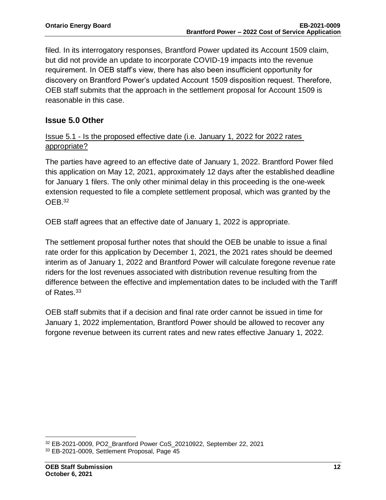filed. In its interrogatory responses, Brantford Power updated its Account 1509 claim, but did not provide an update to incorporate COVID-19 impacts into the revenue requirement. In OEB staff's view, there has also been insufficient opportunity for discovery on Brantford Power's updated Account 1509 disposition request. Therefore, OEB staff submits that the approach in the settlement proposal for Account 1509 is reasonable in this case.

#### **Issue 5.0 Other**

#### Issue 5.1 - Is the proposed effective date (i.e. January 1, 2022 for 2022 rates appropriate?

The parties have agreed to an effective date of January 1, 2022. Brantford Power filed this application on May 12, 2021, approximately 12 days after the established deadline for January 1 filers. The only other minimal delay in this proceeding is the one-week extension requested to file a complete settlement proposal, which was granted by the OEB.<sup>32</sup>

OEB staff agrees that an effective date of January 1, 2022 is appropriate.

The settlement proposal further notes that should the OEB be unable to issue a final rate order for this application by December 1, 2021, the 2021 rates should be deemed interim as of January 1, 2022 and Brantford Power will calculate foregone revenue rate riders for the lost revenues associated with distribution revenue resulting from the difference between the effective and implementation dates to be included with the Tariff of Rates.<sup>33</sup>

OEB staff submits that if a decision and final rate order cannot be issued in time for January 1, 2022 implementation, Brantford Power should be allowed to recover any forgone revenue between its current rates and new rates effective January 1, 2022.

<sup>32</sup> EB-2021-0009, PO2\_Brantford Power CoS\_20210922, September 22, 2021

<sup>33</sup> EB-2021-0009, Settlement Proposal, Page 45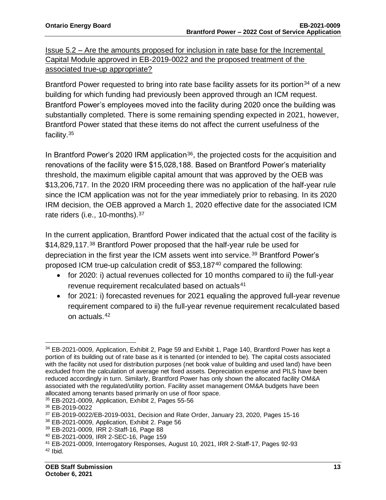Issue 5.2 – Are the amounts proposed for inclusion in rate base for the Incremental Capital Module approved in EB-2019-0022 and the proposed treatment of the associated true-up appropriate?

Brantford Power requested to bring into rate base facility assets for its portion<sup>34</sup> of a new building for which funding had previously been approved through an ICM request. Brantford Power's employees moved into the facility during 2020 once the building was substantially completed. There is some remaining spending expected in 2021, however, Brantford Power stated that these items do not affect the current usefulness of the facility.<sup>35</sup>

In Brantford Power's 2020 IRM application<sup>36</sup>, the projected costs for the acquisition and renovations of the facility were \$15,028,188. Based on Brantford Power's materiality threshold, the maximum eligible capital amount that was approved by the OEB was \$13,206,717. In the 2020 IRM proceeding there was no application of the half-year rule since the ICM application was not for the year immediately prior to rebasing. In its 2020 IRM decision, the OEB approved a March 1, 2020 effective date for the associated ICM rate riders (i.e., 10-months). 37

In the current application, Brantford Power indicated that the actual cost of the facility is \$14,829,117.<sup>38</sup> Brantford Power proposed that the half-year rule be used for depreciation in the first year the ICM assets went into service.<sup>39</sup> Brantford Power's proposed ICM true-up calculation credit of \$53,187<sup>40</sup> compared the following:

- for 2020: i) actual revenues collected for 10 months compared to ii) the full-year revenue requirement recalculated based on actuals<sup>41</sup>
- for 2021: i) forecasted revenues for 2021 equaling the approved full-year revenue requirement compared to ii) the full-year revenue requirement recalculated based on actuals.<sup>42</sup>

<sup>34</sup> EB-2021-0009, Application, Exhibit 2, Page 59 and Exhibit 1, Page 140, Brantford Power has kept a portion of its building out of rate base as it is tenanted (or intended to be). The capital costs associated with the facility not used for distribution purposes (net book value of building and used land) have been excluded from the calculation of average net fixed assets. Depreciation expense and PILS have been reduced accordingly in turn. Similarly, Brantford Power has only shown the allocated facility OM&A associated with the regulated/utility portion. Facility asset management OM&A budgets have been allocated among tenants based primarily on use of floor space.

<sup>35</sup> EB-2021-0009, Application, Exhibit 2, Pages 55-56

<sup>36</sup> EB-2019-0022

<sup>37</sup> EB-2019-0022/EB-2019-0031, Decision and Rate Order, January 23, 2020, Pages 15-16

<sup>38</sup> EB-2021-0009, Application, Exhibit 2. Page 56

<sup>39</sup> EB-2021-0009, IRR 2-Staff-16, Page 88

<sup>40</sup> EB-2021-0009, IRR 2-SEC-16, Page 159

<sup>41</sup> EB-2021-0009, Interrogatory Responses, August 10, 2021, IRR 2-Staff-17, Pages 92-93  $42$  Ibid.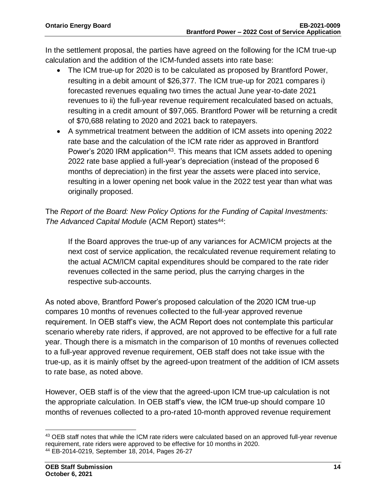In the settlement proposal, the parties have agreed on the following for the ICM true-up calculation and the addition of the ICM-funded assets into rate base:

- The ICM true-up for 2020 is to be calculated as proposed by Brantford Power, resulting in a debit amount of \$26,377. The ICM true-up for 2021 compares i) forecasted revenues equaling two times the actual June year-to-date 2021 revenues to ii) the full-year revenue requirement recalculated based on actuals, resulting in a credit amount of \$97,065. Brantford Power will be returning a credit of \$70,688 relating to 2020 and 2021 back to ratepayers.
- A symmetrical treatment between the addition of ICM assets into opening 2022 rate base and the calculation of the ICM rate rider as approved in Brantford Power's 2020 IRM application<sup>43</sup>. This means that ICM assets added to opening 2022 rate base applied a full-year's depreciation (instead of the proposed 6 months of depreciation) in the first year the assets were placed into service, resulting in a lower opening net book value in the 2022 test year than what was originally proposed.

The *Report of the Board: New Policy Options for the Funding of Capital Investments: The Advanced Capital Module* (ACM Report) states<sup>44</sup>:

If the Board approves the true-up of any variances for ACM/ICM projects at the next cost of service application, the recalculated revenue requirement relating to the actual ACM/ICM capital expenditures should be compared to the rate rider revenues collected in the same period, plus the carrying charges in the respective sub-accounts.

As noted above, Brantford Power's proposed calculation of the 2020 ICM true-up compares 10 months of revenues collected to the full-year approved revenue requirement. In OEB staff's view, the ACM Report does not contemplate this particular scenario whereby rate riders, if approved, are not approved to be effective for a full rate year. Though there is a mismatch in the comparison of 10 months of revenues collected to a full-year approved revenue requirement, OEB staff does not take issue with the true-up, as it is mainly offset by the agreed-upon treatment of the addition of ICM assets to rate base, as noted above.

However, OEB staff is of the view that the agreed-upon ICM true-up calculation is not the appropriate calculation. In OEB staff's view, the ICM true-up should compare 10 months of revenues collected to a pro-rated 10-month approved revenue requirement

<sup>&</sup>lt;sup>43</sup> OEB staff notes that while the ICM rate riders were calculated based on an approved full-year revenue requirement, rate riders were approved to be effective for 10 months in 2020. <sup>44</sup> EB-2014-0219, September 18, 2014, Pages 26-27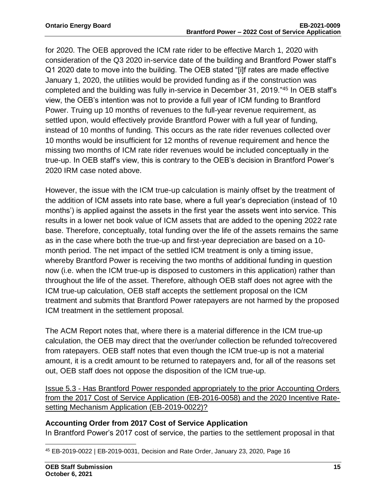for 2020. The OEB approved the ICM rate rider to be effective March 1, 2020 with consideration of the Q3 2020 in-service date of the building and Brantford Power staff's Q1 2020 date to move into the building. The OEB stated "[i]f rates are made effective January 1, 2020, the utilities would be provided funding as if the construction was completed and the building was fully in-service in December 31, 2019."<sup>45</sup> In OEB staff's view, the OEB's intention was not to provide a full year of ICM funding to Brantford Power. Truing up 10 months of revenues to the full-year revenue requirement, as settled upon, would effectively provide Brantford Power with a full year of funding, instead of 10 months of funding. This occurs as the rate rider revenues collected over 10 months would be insufficient for 12 months of revenue requirement and hence the missing two months of ICM rate rider revenues would be included conceptually in the true-up. In OEB staff's view, this is contrary to the OEB's decision in Brantford Power's 2020 IRM case noted above.

However, the issue with the ICM true-up calculation is mainly offset by the treatment of the addition of ICM assets into rate base, where a full year's depreciation (instead of 10 months') is applied against the assets in the first year the assets went into service. This results in a lower net book value of ICM assets that are added to the opening 2022 rate base. Therefore, conceptually, total funding over the life of the assets remains the same as in the case where both the true-up and first-year depreciation are based on a 10 month period. The net impact of the settled ICM treatment is only a timing issue, whereby Brantford Power is receiving the two months of additional funding in question now (i.e. when the ICM true-up is disposed to customers in this application) rather than throughout the life of the asset. Therefore, although OEB staff does not agree with the ICM true-up calculation, OEB staff accepts the settlement proposal on the ICM treatment and submits that Brantford Power ratepayers are not harmed by the proposed ICM treatment in the settlement proposal.

The ACM Report notes that, where there is a material difference in the ICM true-up calculation, the OEB may direct that the over/under collection be refunded to/recovered from ratepayers. OEB staff notes that even though the ICM true-up is not a material amount, it is a credit amount to be returned to ratepayers and, for all of the reasons set out, OEB staff does not oppose the disposition of the ICM true-up.

Issue 5.3 - Has Brantford Power responded appropriately to the prior Accounting Orders from the 2017 Cost of Service Application (EB-2016-0058) and the 2020 Incentive Ratesetting Mechanism Application (EB-2019-0022)?

#### **Accounting Order from 2017 Cost of Service Application**

In Brantford Power's 2017 cost of service, the parties to the settlement proposal in that

<sup>45</sup> EB-2019-0022 | EB-2019-0031, Decision and Rate Order, January 23, 2020, Page 16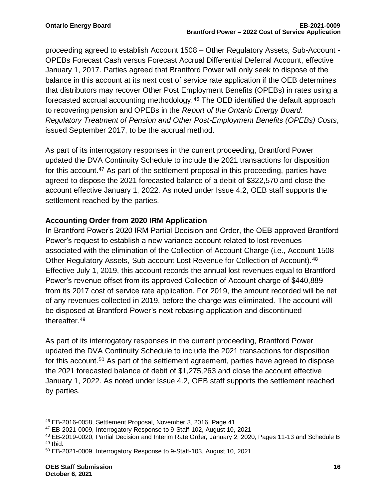proceeding agreed to establish Account 1508 – Other Regulatory Assets, Sub-Account - OPEBs Forecast Cash versus Forecast Accrual Differential Deferral Account, effective January 1, 2017. Parties agreed that Brantford Power will only seek to dispose of the balance in this account at its next cost of service rate application if the OEB determines that distributors may recover Other Post Employment Benefits (OPEBs) in rates using a forecasted accrual accounting methodology.<sup>46</sup> The OEB identified the default approach to recovering pension and OPEBs in the *Report of the Ontario Energy Board: Regulatory Treatment of Pension and Other Post-Employment Benefits (OPEBs) Costs*, issued September 2017, to be the accrual method.

As part of its interrogatory responses in the current proceeding, Brantford Power updated the DVA Continuity Schedule to include the 2021 transactions for disposition for this account.<sup>47</sup> As part of the settlement proposal in this proceeding, parties have agreed to dispose the 2021 forecasted balance of a debit of \$322,570 and close the account effective January 1, 2022. As noted under Issue 4.2, OEB staff supports the settlement reached by the parties.

#### **Accounting Order from 2020 IRM Application**

In Brantford Power's 2020 IRM Partial Decision and Order, the OEB approved Brantford Power's request to establish a new variance account related to lost revenues associated with the elimination of the Collection of Account Charge (i.e., Account 1508 - Other Regulatory Assets, Sub-account Lost Revenue for Collection of Account).<sup>48</sup> Effective July 1, 2019, this account records the annual lost revenues equal to Brantford Power's revenue offset from its approved Collection of Account charge of \$440,889 from its 2017 cost of service rate application. For 2019, the amount recorded will be net of any revenues collected in 2019, before the charge was eliminated. The account will be disposed at Brantford Power's next rebasing application and discontinued thereafter. 49

As part of its interrogatory responses in the current proceeding, Brantford Power updated the DVA Continuity Schedule to include the 2021 transactions for disposition for this account.<sup>50</sup> As part of the settlement agreement, parties have agreed to dispose the 2021 forecasted balance of debit of \$1,275,263 and close the account effective January 1, 2022. As noted under Issue 4.2, OEB staff supports the settlement reached by parties.

<sup>46</sup> EB-2016-0058, Settlement Proposal, November 3, 2016, Page 41

<sup>47</sup> EB-2021-0009, Interrogatory Response to 9-Staff-102, August 10, 2021

<sup>48</sup> EB-2019-0020, Partial Decision and Interim Rate Order, January 2, 2020, Pages 11-13 and Schedule B <sup>49</sup> Ibid.

<sup>50</sup> EB-2021-0009, Interrogatory Response to 9-Staff-103, August 10, 2021